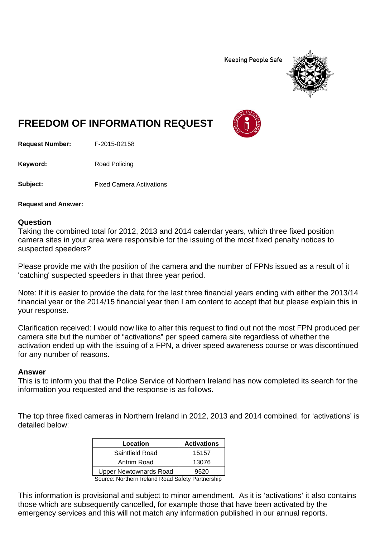**Keeping People Safe** 



## **FREEDOM OF INFORMATION REQUEST**

**Request Number:** F-2015-02158

Keyword: Road Policing

**Subject:** Fixed Camera Activations

**Request and Answer:**

## **Question**

Taking the combined total for 2012, 2013 and 2014 calendar years, which three fixed position camera sites in your area were responsible for the issuing of the most fixed penalty notices to suspected speeders?

Please provide me with the position of the camera and the number of FPNs issued as a result of it 'catching' suspected speeders in that three year period.

Note: If it is easier to provide the data for the last three financial years ending with either the 2013/14 financial year or the 2014/15 financial year then I am content to accept that but please explain this in your response.

Clarification received: I would now like to alter this request to find out not the most FPN produced per camera site but the number of "activations" per speed camera site regardless of whether the activation ended up with the issuing of a FPN, a driver speed awareness course or was discontinued for any number of reasons.

## **Answer**

This is to inform you that the Police Service of Northern Ireland has now completed its search for the information you requested and the response is as follows.

The top three fixed cameras in Northern Ireland in 2012, 2013 and 2014 combined, for 'activations' is detailed below:

| Location                      | <b>Activations</b> |
|-------------------------------|--------------------|
| Saintfield Road               | 15157              |
| Antrim Road                   | 13076              |
| <b>Upper Newtownards Road</b> | 9520               |

Source: Northern Ireland Road Safety Partnership

This information is provisional and subject to minor amendment. As it is 'activations' it also contains those which are subsequently cancelled, for example those that have been activated by the emergency services and this will not match any information published in our annual reports.